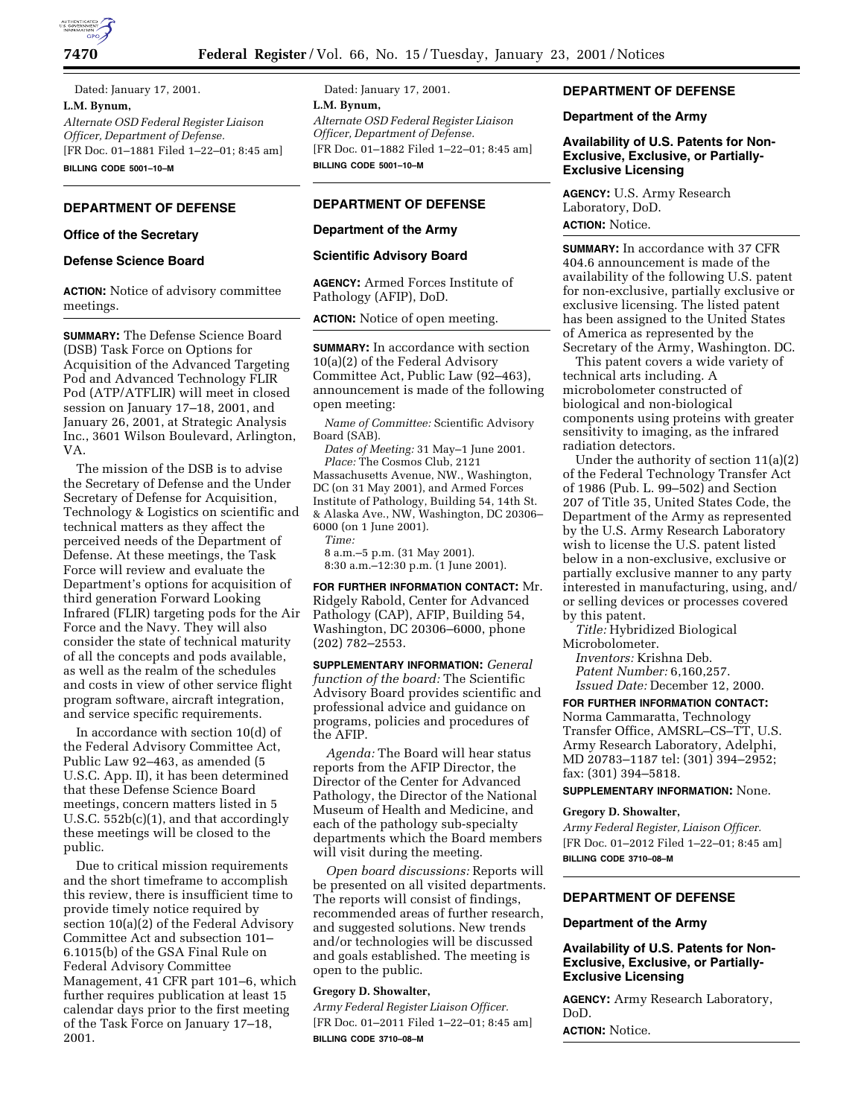

Dated: January 17, 2001. **L.M. Bynum,** *Alternate OSD Federal Register Liaison Officer, Department of Defense.* [FR Doc. 01–1881 Filed 1–22–01; 8:45 am] **BILLING CODE 5001–10–M**

# **DEPARTMENT OF DEFENSE**

### **Office of the Secretary**

## **Defense Science Board**

**ACTION:** Notice of advisory committee meetings.

**SUMMARY:** The Defense Science Board (DSB) Task Force on Options for Acquisition of the Advanced Targeting Pod and Advanced Technology FLIR Pod (ATP/ATFLIR) will meet in closed session on January 17–18, 2001, and January 26, 2001, at Strategic Analysis Inc., 3601 Wilson Boulevard, Arlington, VA.

The mission of the DSB is to advise the Secretary of Defense and the Under Secretary of Defense for Acquisition, Technology & Logistics on scientific and technical matters as they affect the perceived needs of the Department of Defense. At these meetings, the Task Force will review and evaluate the Department's options for acquisition of third generation Forward Looking Infrared (FLIR) targeting pods for the Air Force and the Navy. They will also consider the state of technical maturity of all the concepts and pods available, as well as the realm of the schedules and costs in view of other service flight program software, aircraft integration, and service specific requirements.

In accordance with section 10(d) of the Federal Advisory Committee Act, Public Law 92–463, as amended (5 U.S.C. App. II), it has been determined that these Defense Science Board meetings, concern matters listed in 5 U.S.C. 552b(c)(1), and that accordingly these meetings will be closed to the public.

Due to critical mission requirements and the short timeframe to accomplish this review, there is insufficient time to provide timely notice required by section 10(a)(2) of the Federal Advisory Committee Act and subsection 101– 6.1015(b) of the GSA Final Rule on Federal Advisory Committee Management, 41 CFR part 101–6, which further requires publication at least 15 calendar days prior to the first meeting of the Task Force on January 17–18, 2001.

Dated: January 17, 2001. **L.M. Bynum,** *Alternate OSD Federal Register Liaison Officer, Department of Defense.* [FR Doc. 01–1882 Filed 1–22–01; 8:45 am] **BILLING CODE 5001–10–M**

# **DEPARTMENT OF DEFENSE**

#### **Department of the Army**

### **Scientific Advisory Board**

**AGENCY:** Armed Forces Institute of Pathology (AFIP), DoD.

**ACTION:** Notice of open meeting.

**SUMMARY:** In accordance with section 10(a)(2) of the Federal Advisory Committee Act, Public Law (92–463), announcement is made of the following open meeting:

*Name of Committee:* Scientific Advisory Board (SAB).

*Dates of Meeting:* 31 May–1 June 2001. *Place:* The Cosmos Club, 2121 Massachusetts Avenue, NW., Washington, DC (on 31 May 2001), and Armed Forces Institute of Pathology, Building 54, 14th St. & Alaska Ave., NW, Washington, DC 20306– 6000 (on 1 June 2001).

*Time:*

8 a.m.–5 p.m. (31 May 2001). 8:30 a.m.–12:30 p.m. (1 June 2001).

**FOR FURTHER INFORMATION CONTACT:** Mr. Ridgely Rabold, Center for Advanced Pathology (CAP), AFIP, Building 54, Washington, DC 20306–6000, phone (202) 782–2553.

**SUPPLEMENTARY INFORMATION:** *General function of the board:* The Scientific Advisory Board provides scientific and professional advice and guidance on programs, policies and procedures of the AFIP.

*Agenda:* The Board will hear status reports from the AFIP Director, the Director of the Center for Advanced Pathology, the Director of the National Museum of Health and Medicine, and each of the pathology sub-specialty departments which the Board members will visit during the meeting.

*Open board discussions:* Reports will be presented on all visited departments. The reports will consist of findings, recommended areas of further research, and suggested solutions. New trends and/or technologies will be discussed and goals established. The meeting is open to the public.

# **Gregory D. Showalter,**

*Army Federal Register Liaison Officer.* [FR Doc. 01–2011 Filed 1–22–01; 8:45 am] **BILLING CODE 3710–08–M**

# **DEPARTMENT OF DEFENSE**

### **Department of the Army**

**Availability of U.S. Patents for Non-Exclusive, Exclusive, or Partially-Exclusive Licensing**

**AGENCY:** U.S. Army Research Laboratory, DoD. **ACTION:** Notice.

**SUMMARY:** In accordance with 37 CFR 404.6 announcement is made of the availability of the following U.S. patent for non-exclusive, partially exclusive or exclusive licensing. The listed patent has been assigned to the United States of America as represented by the Secretary of the Army, Washington. DC.

This patent covers a wide variety of technical arts including. A microbolometer constructed of biological and non-biological components using proteins with greater sensitivity to imaging, as the infrared radiation detectors.

Under the authority of section 11(a)(2) of the Federal Technology Transfer Act of 1986 (Pub. L. 99–502) and Section 207 of Title 35, United States Code, the Department of the Army as represented by the U.S. Army Research Laboratory wish to license the U.S. patent listed below in a non-exclusive, exclusive or partially exclusive manner to any party interested in manufacturing, using, and/ or selling devices or processes covered by this patent.

*Title:* Hybridized Biological Microbolometer.

*Inventors:* Krishna Deb. *Patent Number:* 6,160,257. *Issued Date:* December 12, 2000.

**FOR FURTHER INFORMATION CONTACT:** Norma Cammaratta, Technology Transfer Office, AMSRL–CS–TT, U.S. Army Research Laboratory, Adelphi, MD 20783–1187 tel: (301) 394–2952; fax: (301) 394–5818.

# **SUPPLEMENTARY INFORMATION:** None.

# **Gregory D. Showalter,**

*Army Federal Register, Liaison Officer.* [FR Doc. 01–2012 Filed 1–22–01; 8:45 am] **BILLING CODE 3710–08–M**

## **DEPARTMENT OF DEFENSE**

### **Department of the Army**

## **Availability of U.S. Patents for Non-Exclusive, Exclusive, or Partially-Exclusive Licensing**

**AGENCY:** Army Research Laboratory, DoD.

**ACTION:** Notice.